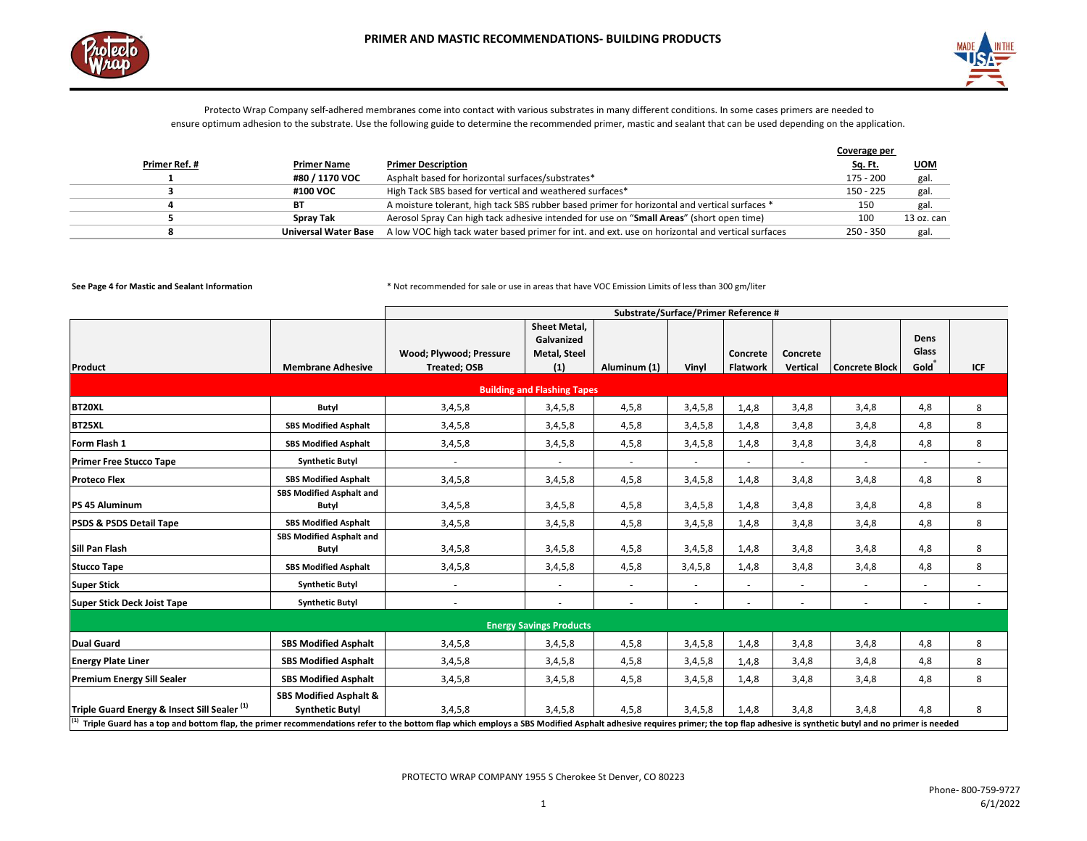



|               |                             |                                                                                                  | Coverage per   |            |
|---------------|-----------------------------|--------------------------------------------------------------------------------------------------|----------------|------------|
| Primer Ref. # | <b>Primer Name</b>          | <b>Primer Description</b>                                                                        | <u>Sq. Ft.</u> | <b>UOM</b> |
|               | #80 / 1170 VOC              | Asphalt based for horizontal surfaces/substrates*                                                | 175 - 200      | gal.       |
|               | #100 VOC                    | High Tack SBS based for vertical and weathered surfaces*                                         | $150 - 225$    | gal.       |
|               | ВT                          | A moisture tolerant, high tack SBS rubber based primer for horizontal and vertical surfaces *    | 150            | gal.       |
|               | <b>Spray Tak</b>            | Aerosol Spray Can high tack adhesive intended for use on "Small Areas" (short open time)         | 100            | 13 oz. can |
|               | <b>Universal Water Base</b> | A low VOC high tack water based primer for int. and ext. use on horizontal and vertical surfaces | $250 - 350$    | gal.       |

|                                                                                                                                                                                                                                                                                            |                                                             | Substrate/Surface/Primer Reference #           |                                                          |              |         |                             |                      |                       |                               |        |
|--------------------------------------------------------------------------------------------------------------------------------------------------------------------------------------------------------------------------------------------------------------------------------------------|-------------------------------------------------------------|------------------------------------------------|----------------------------------------------------------|--------------|---------|-----------------------------|----------------------|-----------------------|-------------------------------|--------|
| Product                                                                                                                                                                                                                                                                                    | <b>Membrane Adhesive</b>                                    | Wood; Plywood; Pressure<br><b>Treated; OSB</b> | Sheet Metal,<br>Galvanized<br><b>Metal, Steel</b><br>(1) | Aluminum (1) | Vinyl   | Concrete<br><b>Flatwork</b> | Concrete<br>Vertical | <b>Concrete Block</b> | <b>Dens</b><br>Glass<br>Gold® | ICF    |
|                                                                                                                                                                                                                                                                                            |                                                             |                                                | <b>Building and Flashing Tapes</b>                       |              |         |                             |                      |                       |                               |        |
| BT20XL                                                                                                                                                                                                                                                                                     | Butyl                                                       | 3,4,5,8                                        | 3,4,5,8                                                  | 4, 5, 8      | 3,4,5,8 | 1,4,8                       | 3,4,8                | 3,4,8                 | 4,8                           | 8      |
| BT25XL                                                                                                                                                                                                                                                                                     | <b>SBS Modified Asphalt</b>                                 | 3,4,5,8                                        | 3,4,5,8                                                  | 4, 5, 8      | 3,4,5,8 | 1,4,8                       | 3,4,8                | 3,4,8                 | 4,8                           | 8      |
| Form Flash 1                                                                                                                                                                                                                                                                               | <b>SBS Modified Asphalt</b>                                 | 3,4,5,8                                        | 3,4,5,8                                                  | 4,5,8        | 3,4,5,8 | 1,4,8                       | 3,4,8                | 3,4,8                 | 4,8                           | 8      |
| <b>Primer Free Stucco Tape</b>                                                                                                                                                                                                                                                             | <b>Synthetic Butyl</b>                                      |                                                |                                                          |              |         |                             |                      | ÷.                    |                               | $\sim$ |
| <b>Proteco Flex</b>                                                                                                                                                                                                                                                                        | <b>SBS Modified Asphalt</b>                                 | 3,4,5,8                                        | 3,4,5,8                                                  | 4, 5, 8      | 3,4,5,8 | 1,4,8                       | 3,4,8                | 3,4,8                 | 4,8                           | 8      |
| PS 45 Aluminum                                                                                                                                                                                                                                                                             | <b>SBS Modified Asphalt and</b><br>Butyl                    | 3,4,5,8                                        | 3,4,5,8                                                  | 4, 5, 8      | 3,4,5,8 | 1,4,8                       | 3,4,8                | 3,4,8                 | 4,8                           | 8      |
| <b>PSDS &amp; PSDS Detail Tape</b>                                                                                                                                                                                                                                                         | <b>SBS Modified Asphalt</b>                                 | 3,4,5,8                                        | 3,4,5,8                                                  | 4, 5, 8      | 3,4,5,8 | 1,4,8                       | 3,4,8                | 3,4,8                 | 4,8                           | 8      |
| <b>Sill Pan Flash</b>                                                                                                                                                                                                                                                                      | <b>SBS Modified Asphalt and</b><br>Butyl                    | 3,4,5,8                                        | 3,4,5,8                                                  | 4, 5, 8      | 3,4,5,8 | 1,4,8                       | 3,4,8                | 3,4,8                 | 4,8                           | 8      |
| <b>Stucco Tape</b>                                                                                                                                                                                                                                                                         | <b>SBS Modified Asphalt</b>                                 | 3,4,5,8                                        | 3,4,5,8                                                  | 4,5,8        | 3,4,5,8 | 1,4,8                       | 3,4,8                | 3,4,8                 | 4,8                           | 8      |
| <b>Super Stick</b>                                                                                                                                                                                                                                                                         | <b>Synthetic Butyl</b>                                      |                                                |                                                          |              |         |                             |                      | ÷.                    |                               | $\sim$ |
| <b>Super Stick Deck Joist Tape</b>                                                                                                                                                                                                                                                         | <b>Synthetic Butyl</b>                                      |                                                | $\sim$                                                   | $\sim$       | $\sim$  | ×.                          | $\sim$               | ÷                     | $\sim$                        | ÷.     |
| <b>Energy Savings Products</b>                                                                                                                                                                                                                                                             |                                                             |                                                |                                                          |              |         |                             |                      |                       |                               |        |
| <b>Dual Guard</b>                                                                                                                                                                                                                                                                          | <b>SBS Modified Asphalt</b>                                 | 3,4,5,8                                        | 3,4,5,8                                                  | 4, 5, 8      | 3,4,5,8 | 1,4,8                       | 3,4,8                | 3,4,8                 | 4,8                           | 8      |
| <b>Energy Plate Liner</b>                                                                                                                                                                                                                                                                  | <b>SBS Modified Asphalt</b>                                 | 3,4,5,8                                        | 3,4,5,8                                                  | 4,5,8        | 3,4,5,8 | 1,4,8                       | 3,4,8                | 3,4,8                 | 4,8                           | 8      |
| <b>Premium Energy Sill Sealer</b>                                                                                                                                                                                                                                                          | <b>SBS Modified Asphalt</b>                                 | 3,4,5,8                                        | 3,4,5,8                                                  | 4, 5, 8      | 3,4,5,8 | 1,4,8                       | 3,4,8                | 3,4,8                 | 4,8                           | 8      |
| Triple Guard Energy & Insect Sill Sealer <sup>(1)</sup><br>$^{(1)}$ Triple Guard has a top and bottom flap, the primer recommendations refer to the bottom flap which employs a SBS Modified Asphalt adhesive requires primer; the top flap adhesive is synthetic butyl and no primer is n | <b>SBS Modified Asphalt &amp;</b><br><b>Synthetic Butyl</b> | 3,4,5,8                                        | 3,4,5,8                                                  | 4,5,8        | 3,4,5,8 | 1,4,8                       | 3,4,8                | 3,4,8                 | 4,8                           | 8      |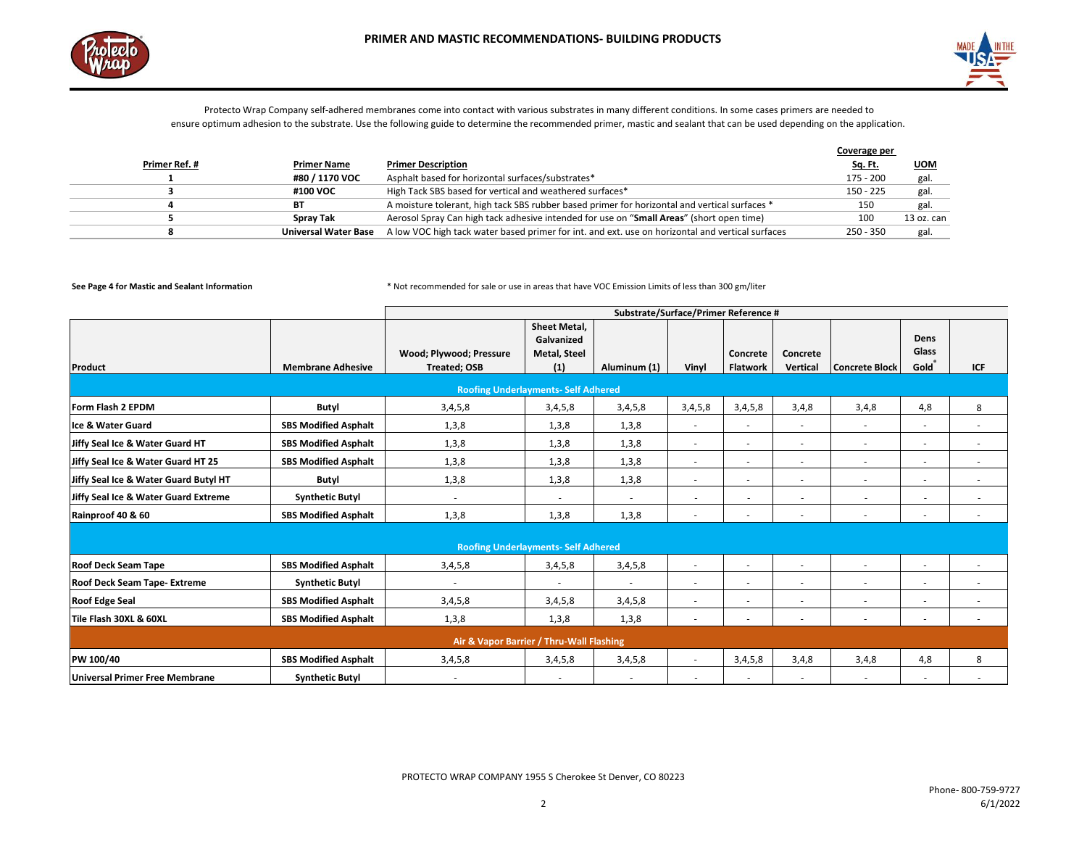



|               |                             |                                                                                                  | Coverage per   |            |
|---------------|-----------------------------|--------------------------------------------------------------------------------------------------|----------------|------------|
| Primer Ref. # | <b>Primer Name</b>          | <b>Primer Description</b>                                                                        | <u>Sq. Ft.</u> | <b>UOM</b> |
|               | #80 / 1170 VOC              | Asphalt based for horizontal surfaces/substrates*                                                | 175 - 200      | gal.       |
|               | #100 VOC                    | High Tack SBS based for vertical and weathered surfaces*                                         | $150 - 225$    | gal.       |
|               | ВT                          | A moisture tolerant, high tack SBS rubber based primer for horizontal and vertical surfaces *    | 150            | gal.       |
|               | <b>Spray Tak</b>            | Aerosol Spray Can high tack adhesive intended for use on "Small Areas" (short open time)         | 100            | 13 oz. can |
|               | <b>Universal Water Base</b> | A low VOC high tack water based primer for int. and ext. use on horizontal and vertical surfaces | $250 - 350$    | gal.       |

|                                       |                             | Substrate/Surface/Primer Reference #     |                                            |              |                          |                          |                          |                          |                          |        |
|---------------------------------------|-----------------------------|------------------------------------------|--------------------------------------------|--------------|--------------------------|--------------------------|--------------------------|--------------------------|--------------------------|--------|
|                                       |                             |                                          | <b>Sheet Metal,</b><br>Galvanized          |              |                          |                          |                          |                          | Dens                     |        |
|                                       |                             | Wood; Plywood; Pressure                  | <b>Metal, Steel</b>                        |              |                          | Concrete                 | Concrete                 |                          | Glass                    |        |
| Product                               | <b>Membrane Adhesive</b>    | <b>Treated; OSB</b>                      | (1)                                        | Aluminum (1) | Vinyl                    | <b>Flatwork</b>          | Vertical                 | <b>Concrete Block</b>    | Gold®                    | ICF    |
|                                       |                             |                                          | <b>Roofing Underlayments- Self Adhered</b> |              |                          |                          |                          |                          |                          |        |
| Form Flash 2 EPDM                     | Butyl                       | 3,4,5,8                                  | 3,4,5,8                                    | 3,4,5,8      | 3,4,5,8                  | 3,4,5,8                  | 3,4,8                    | 3,4,8                    | 4,8                      | 8      |
| Ice & Water Guard                     | <b>SBS Modified Asphalt</b> | 1,3,8                                    | 1,3,8                                      | 1,3,8        | $\sim$                   | ٠                        | $\sim$                   | $\sim$                   | $\overline{\phantom{a}}$ |        |
| Jiffy Seal Ice & Water Guard HT       | <b>SBS Modified Asphalt</b> | 1,3,8                                    | 1,3,8                                      | 1,3,8        |                          | ٠                        | $\overline{\phantom{a}}$ |                          | ٠                        |        |
| Jiffy Seal Ice & Water Guard HT 25    | <b>SBS Modified Asphalt</b> | 1,3,8                                    | 1,3,8                                      | 1,3,8        | ٠                        | ٠                        | $\sim$                   | $\overline{\phantom{a}}$ | ٠                        | $\sim$ |
| Jiffy Seal Ice & Water Guard Butyl HT | Butyl                       | 1,3,8                                    | 1,3,8                                      | 1,3,8        | $\overline{\phantom{a}}$ | ٠                        | $\overline{a}$           | ٠                        |                          | ٠      |
| Jiffy Seal Ice & Water Guard Extreme  | <b>Synthetic Butyl</b>      | ٠                                        |                                            | ٠            |                          |                          |                          |                          |                          |        |
| Rainproof 40 & 60                     | <b>SBS Modified Asphalt</b> | 1,3,8                                    | 1,3,8                                      | 1,3,8        |                          |                          |                          |                          |                          |        |
|                                       |                             |                                          |                                            |              |                          |                          |                          |                          |                          |        |
|                                       |                             |                                          | <b>Roofing Underlayments- Self Adhered</b> |              |                          |                          |                          |                          |                          |        |
| <b>Roof Deck Seam Tape</b>            | <b>SBS Modified Asphalt</b> | 3,4,5,8                                  | 3,4,5,8                                    | 3,4,5,8      |                          | $\sim$                   | $\sim$                   | $\overline{\phantom{a}}$ | $\sim$                   |        |
| <b>Roof Deck Seam Tape- Extreme</b>   | <b>Synthetic Butyl</b>      | ٠                                        | ٠                                          | $\sim$       | $\sim$                   | ٠                        | ٠                        | $\overline{\phantom{a}}$ | ٠                        | $\sim$ |
| <b>Roof Edge Seal</b>                 | <b>SBS Modified Asphalt</b> | 3,4,5,8                                  | 3,4,5,8                                    | 3,4,5,8      |                          | ٠                        | $\overline{\phantom{a}}$ |                          |                          |        |
| Tile Flash 30XL & 60XL                | <b>SBS Modified Asphalt</b> | 1,3,8                                    | 1,3,8                                      | 1,3,8        |                          |                          |                          |                          |                          |        |
|                                       |                             | Air & Vapor Barrier / Thru-Wall Flashing |                                            |              |                          |                          |                          |                          |                          |        |
| PW 100/40                             | <b>SBS Modified Asphalt</b> | 3,4,5,8                                  | 3,4,5,8                                    | 3,4,5,8      |                          | 3,4,5,8                  | 3,4,8                    | 3,4,8                    | 4,8                      | 8      |
| Universal Primer Free Membrane        | <b>Synthetic Butyl</b>      | ٠                                        | ٠                                          |              |                          | $\overline{\phantom{a}}$ |                          |                          | $\sim$                   |        |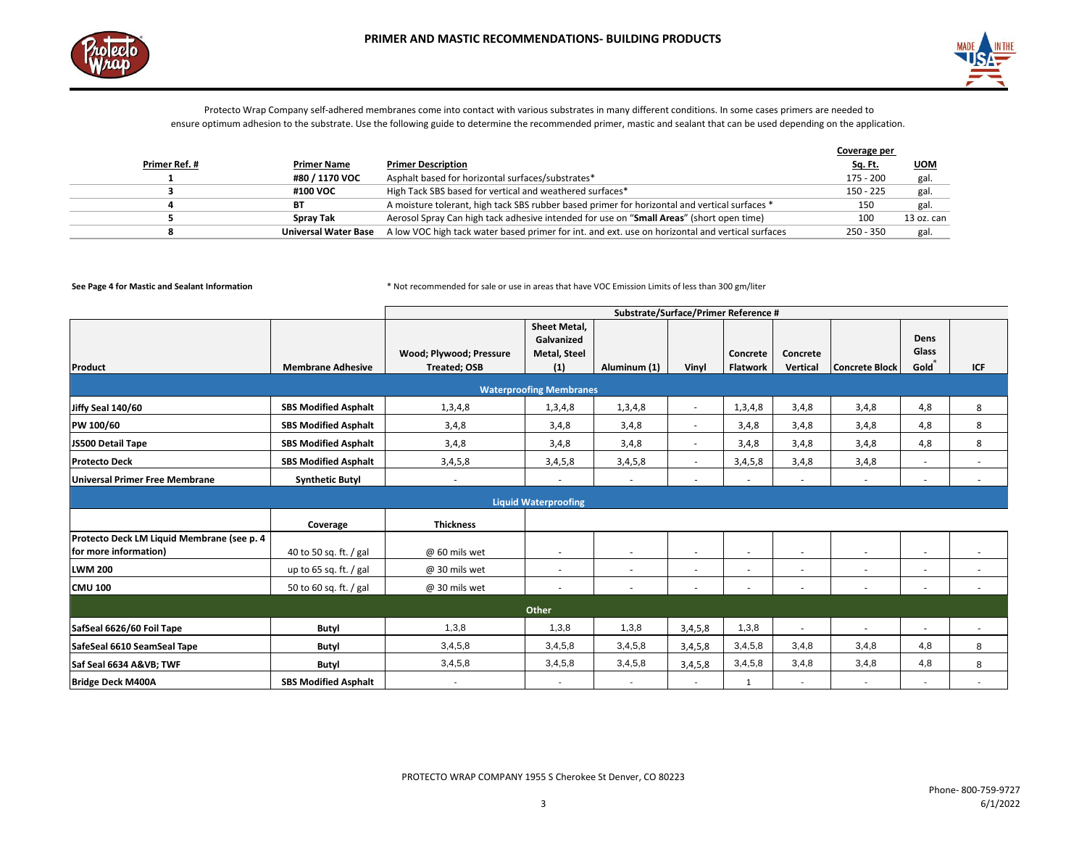



|               |                             |                                                                                                  | Coverage per   |            |
|---------------|-----------------------------|--------------------------------------------------------------------------------------------------|----------------|------------|
| Primer Ref. # | <b>Primer Name</b>          | <b>Primer Description</b>                                                                        | <u>Sq. Ft.</u> | <b>UOM</b> |
|               | #80 / 1170 VOC              | Asphalt based for horizontal surfaces/substrates*                                                | 175 - 200      | gal.       |
|               | #100 VOC                    | High Tack SBS based for vertical and weathered surfaces*                                         | $150 - 225$    | gal.       |
|               | ВT                          | A moisture tolerant, high tack SBS rubber based primer for horizontal and vertical surfaces *    | 150            | gal.       |
|               | <b>Spray Tak</b>            | Aerosol Spray Can high tack adhesive intended for use on "Small Areas" (short open time)         | 100            | 13 oz. can |
|               | <b>Universal Water Base</b> | A low VOC high tack water based primer for int. and ext. use on horizontal and vertical surfaces | $250 - 350$    | gal.       |

|                                            |                             | Substrate/Surface/Primer Reference # |                                |                          |         |                          |                          |                       |                          |     |
|--------------------------------------------|-----------------------------|--------------------------------------|--------------------------------|--------------------------|---------|--------------------------|--------------------------|-----------------------|--------------------------|-----|
|                                            |                             |                                      | Sheet Metal,                   |                          |         |                          |                          |                       |                          |     |
|                                            |                             |                                      | Galvanized                     |                          |         |                          |                          |                       | Dens<br>Glass            |     |
|                                            | <b>Membrane Adhesive</b>    | Wood; Plywood; Pressure              | <b>Metal, Steel</b>            |                          |         | Concrete                 | Concrete                 |                       | Gold®                    |     |
| Product                                    |                             | <b>Treated; OSB</b>                  | (1)                            | Aluminum (1)             | Vinyl   | <b>Flatwork</b>          | Vertical                 | <b>Concrete Block</b> |                          | ICF |
|                                            |                             |                                      | <b>Waterproofing Membranes</b> |                          |         |                          |                          |                       |                          |     |
| Jiffy Seal 140/60                          | <b>SBS Modified Asphalt</b> | 1,3,4,8                              | 1,3,4,8                        | 1,3,4,8                  | $\sim$  | 1,3,4,8                  | 3,4,8                    | 3,4,8                 | 4,8                      | 8   |
| PW 100/60                                  | <b>SBS Modified Asphalt</b> | 3,4,8                                | 3,4,8                          | 3,4,8                    | $\sim$  | 3,4,8                    | 3,4,8                    | 3,4,8                 | 4,8                      | 8   |
| JS500 Detail Tape                          | <b>SBS Modified Asphalt</b> | 3,4,8                                | 3,4,8                          | 3,4,8                    |         | 3,4,8                    | 3,4,8                    | 3,4,8                 | 4,8                      | 8   |
| <b>Protecto Deck</b>                       | <b>SBS Modified Asphalt</b> | 3,4,5,8                              | 3,4,5,8                        | 3,4,5,8                  | $\sim$  | 3,4,5,8                  | 3,4,8                    | 3,4,8                 | $\sim$                   |     |
| <b>Universal Primer Free Membrane</b>      | <b>Synthetic Butyl</b>      |                                      |                                | $\overline{\phantom{a}}$ |         | $\overline{\phantom{a}}$ | $\sim$                   |                       | $\overline{\phantom{a}}$ |     |
|                                            |                             |                                      | <b>Liquid Waterproofing</b>    |                          |         |                          |                          |                       |                          |     |
|                                            |                             |                                      |                                |                          |         |                          |                          |                       |                          |     |
|                                            | Coverage                    | <b>Thickness</b>                     |                                |                          |         |                          |                          |                       |                          |     |
| Protecto Deck LM Liquid Membrane (see p. 4 |                             |                                      |                                |                          |         |                          |                          |                       |                          |     |
| for more information)                      | 40 to 50 sq. ft. / gal      | @ 60 mils wet                        | $\sim$                         | $\overline{\phantom{a}}$ |         | $\overline{\phantom{a}}$ | $\overline{\phantom{a}}$ |                       |                          |     |
| <b>LWM 200</b>                             | up to 65 sq. ft. $/$ gal    | @ 30 mils wet                        | $\sim$                         | $\sim$                   | $\sim$  | $\sim$                   | $\sim$                   | $\sim$                | $\overline{\phantom{a}}$ | ٠   |
| <b>CMU 100</b>                             | 50 to 60 sq. ft. / gal      | @ 30 mils wet                        | $\overline{\phantom{a}}$       | $\overline{\phantom{a}}$ | $\sim$  | $\sim$                   | $\overline{\phantom{a}}$ | ٠                     | $\overline{\phantom{a}}$ |     |
| Other                                      |                             |                                      |                                |                          |         |                          |                          |                       |                          |     |
| SafSeal 6626/60 Foil Tape                  | Butyl                       | 1,3,8                                | 1,3,8                          | 1,3,8                    | 3,4,5,8 | 1,3,8                    |                          |                       |                          |     |
| SafeSeal 6610 SeamSeal Tape                | Butyl                       | 3,4,5,8                              | 3,4,5,8                        | 3,4,5,8                  | 3,4,5,8 | 3,4,5,8                  | 3,4,8                    | 3,4,8                 | 4,8                      | 8   |
| Saf Seal 6634 A&VB TWF                     | Butyl                       | 3,4,5,8                              | 3,4,5,8                        | 3,4,5,8                  | 3,4,5,8 | 3,4,5,8                  | 3,4,8                    | 3,4,8                 | 4,8                      | 8   |
| <b>Bridge Deck M400A</b>                   | <b>SBS Modified Asphalt</b> |                                      | $\overline{\phantom{a}}$       | $\overline{\phantom{a}}$ |         | 1                        |                          |                       |                          |     |